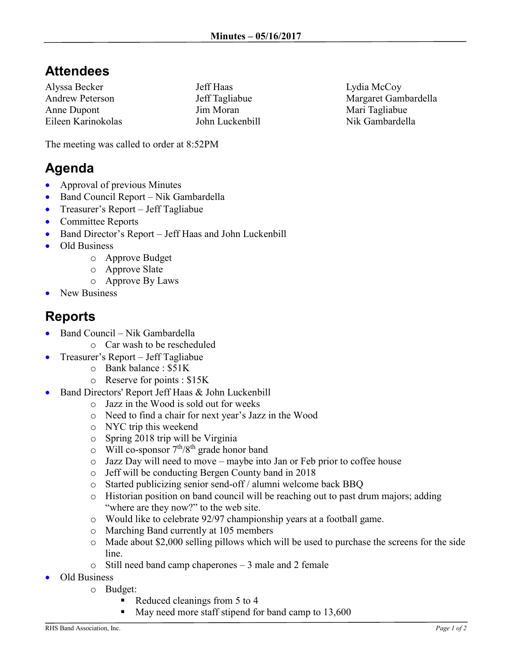## **Attendees**

Alyssa Becker Andrew Peterson Anne Dupont Eileen Karinokolas Jeff Haas Jeff Tagliabue Jim Moran John Luckenbill

Lydia McCoy Margaret Gambardella Mari Tagliabue Nik Gambardella

The meeting was called to order at 8:52PM

## **Agenda**

- Approval of previous Minutes
- Band Council Report Nik Gambardella
- Treasurer's Report Jeff Tagliabue
- Committee Reports
- Band Director's Report Jeff Haas and John Luckenbill
- Old Business
	- o Approve Budget
	- o Approve Slate
	- o Approve By Laws
- New Business

## **Reports**

- Band Council Nik Gambardella
	- o Car wash to be rescheduled
- Treasurer's Report Jeff Tagliabue
	- o Bank balance : \$51K
		- o Reserve for points : \$15K
- Band Directors' Report Jeff Haas & John Luckenbill
	- o Jazz in the Wood is sold out for weeks
	- o Need to find a chair for next year's Jazz in the Wood
	- o NYC trip this weekend
	- o Spring 2018 trip will be Virginia
	- $\circ$  Will co-sponsor  $7<sup>th</sup>/8<sup>th</sup>$  grade honor band
	- o Jazz Day will need to move maybe into Jan or Feb prior to coffee house
	- o Jeff will be conducting Bergen County band in 2018
	- o Started publicizing senior send-off / alumni welcome back BBQ
	- o Historian position on band council will be reaching out to past drum majors; adding "where are they now?" to the web site.
	- o Would like to celebrate 92/97 championship years at a football game.
	- o Marching Band currently at 105 members
	- o Made about \$2,000 selling pillows which will be used to purchase the screens for the side line.
	- o Still need band camp chaperones 3 male and 2 female
	- Old Business
		- o Budget:
			- Reduced cleanings from 5 to 4
			- $\blacksquare$  May need more staff stipend for band camp to 13,600